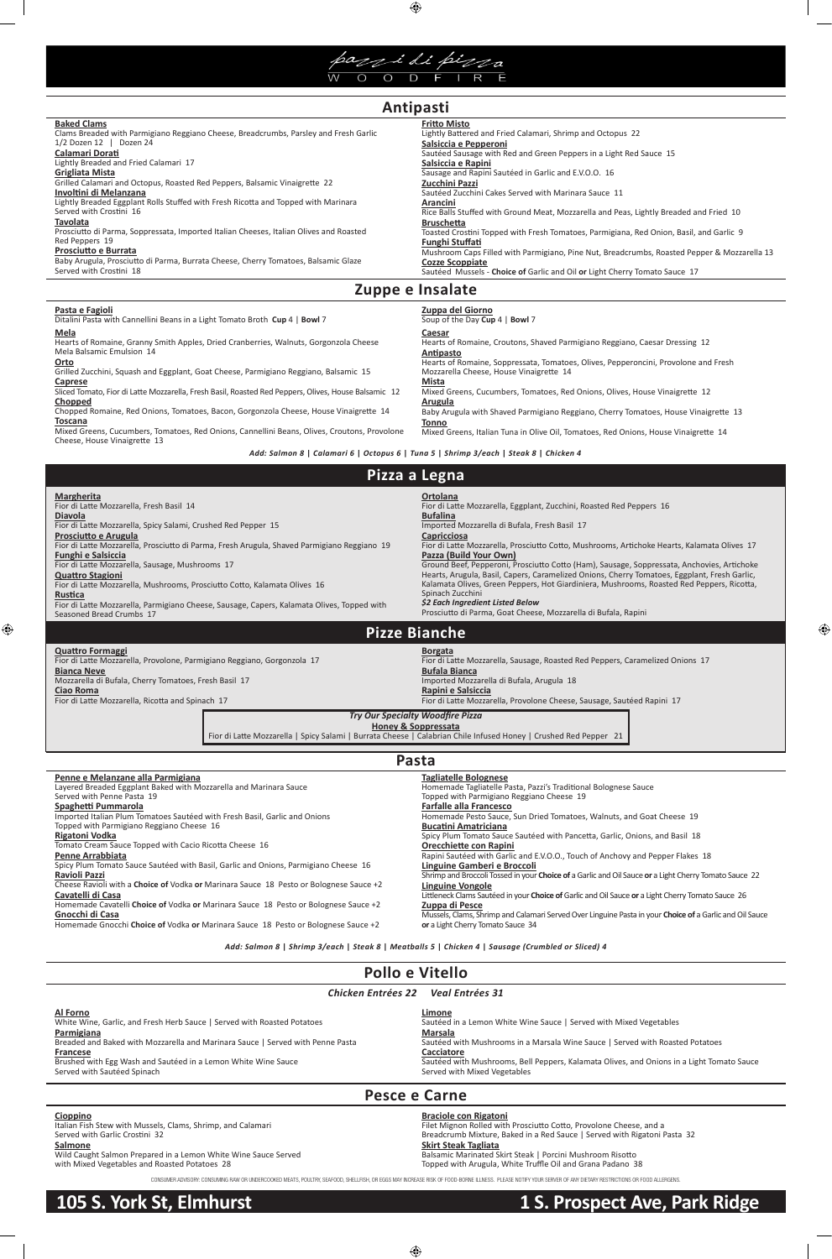

 $\bigoplus$ 

| <b>Baked Clams</b>                                                                     | <b>Fritto Misto</b>                                                                         |
|----------------------------------------------------------------------------------------|---------------------------------------------------------------------------------------------|
| Clams Breaded with Parmigiano Reggiano Cheese, Breadcrumbs, Parsley and Fresh Garlic   | Lightly Battered and Fried Calamari, Shrimp and Octopus 22                                  |
| $1/2$ Dozen 12   Dozen 24                                                              | Salsiccia e Pepperoni                                                                       |
| Calamari Dorati                                                                        | Sautéed Sausage with Red and Green Peppers in a Light Red Sauce 15                          |
| Lightly Breaded and Fried Calamari 17                                                  | Salsiccia e Rapini                                                                          |
| Grigliata Mista                                                                        | Sausage and Rapini Sautéed in Garlic and E.V.O.O. 16                                        |
| Grilled Calamari and Octopus, Roasted Red Peppers, Balsamic Vinaigrette 22             | Zucchini Pazzi                                                                              |
| Involtini di Melanzana                                                                 | Sautéed Zucchini Cakes Served with Marinara Sauce 11                                        |
| Lightly Breaded Eggplant Rolls Stuffed with Fresh Ricotta and Topped with Marinara     | <b>Arancini</b>                                                                             |
| Served with Crostini 16                                                                | Rice Balls Stuffed with Ground Meat, Mozzarella and Peas, Lightly Breaded and Fried 10      |
| <b>Tavolata</b>                                                                        | <b>Bruschetta</b>                                                                           |
| Prosciutto di Parma, Soppressata, Imported Italian Cheeses, Italian Olives and Roasted | Toasted Crostini Topped with Fresh Tomatoes, Parmigiana, Red Onion, Basil, and Garlic 9     |
| Red Peppers 19                                                                         | <b>Funghi Stuffati</b>                                                                      |
| <b>Prosciutto e Burrata</b>                                                            | Mushroom Caps Filled with Parmigiano, Pine Nut, Breadcrumbs, Roasted Pepper & Mozzarella 13 |
| Baby Arugula, Prosciutto di Parma, Burrata Cheese, Cherry Tomatoes, Balsamic Glaze     | <b>Cozze Scoppiate</b>                                                                      |
| Served with Crostini 18                                                                | Sautéed Mussels - Choice of Garlic and Oil or Light Cherry Tomato Sauce 17                  |
|                                                                                        |                                                                                             |

| Pollo e Vitello                                                                                                                                                                                                                                                                                                                                                                                                                                                                                                                                                                                                               |                                                                                                                                                                                |  |
|-------------------------------------------------------------------------------------------------------------------------------------------------------------------------------------------------------------------------------------------------------------------------------------------------------------------------------------------------------------------------------------------------------------------------------------------------------------------------------------------------------------------------------------------------------------------------------------------------------------------------------|--------------------------------------------------------------------------------------------------------------------------------------------------------------------------------|--|
| <b>Chicken Entrées 22</b><br>Veal Entrées 31                                                                                                                                                                                                                                                                                                                                                                                                                                                                                                                                                                                  |                                                                                                                                                                                |  |
| Al Forno<br>Limone<br>White Wine, Garlic, and Fresh Herb Sauce   Served with Roasted Potatoes<br>Sautéed in a Lemon White Wine Sauce   Served with Mixed Vegetables<br>Parmigiana<br><b>Marsala</b><br>Breaded and Baked with Mozzarella and Marinara Sauce   Served with Penne Pasta<br>Sautéed with Mushrooms in a Marsala Wine Sauce   Served with Roasted Potatoes<br>Cacciatore<br>Francese<br>Brushed with Egg Wash and Sautéed in a Lemon White Wine Sauce<br>Sautéed with Mushrooms, Bell Peppers, Kalamata Olives, and Onions in a Light Tomato Sauce<br>Served with Sautéed Spinach<br>Served with Mixed Vegetables |                                                                                                                                                                                |  |
| Pesce e Carne                                                                                                                                                                                                                                                                                                                                                                                                                                                                                                                                                                                                                 |                                                                                                                                                                                |  |
| Cioppino<br>Italian Fish Stew with Mussels, Clams, Shrimp, and Calamari<br>Served with Garlic Crostini 32                                                                                                                                                                                                                                                                                                                                                                                                                                                                                                                     | <b>Braciole con Rigatoni</b><br>Filet Mignon Rolled with Prosciutto Cotto, Provolone Cheese, and a<br>Breadcrumb Mixture, Baked in a Red Sauce   Served with Rigatoni Pasta 32 |  |

Tomato Cream Sauce Topped with Cacio Ricotta Cheese 16 **Penne Arrabbiata**

Spicy Plum Tomato Sauce Sautéed with Basil, Garlic and Onions, Parmigiano Cheese 16 **Ravioli Pazzi**

| Pasta e Fagioli<br>Ditalini Pasta with Cannellini Beans in a Light Tomato Broth Cup 4   Bowl 7                     | Zuppa del Giorno<br>Soup of the Day Cup 4   Bowl 7                                           |  |  |
|--------------------------------------------------------------------------------------------------------------------|----------------------------------------------------------------------------------------------|--|--|
| Mela                                                                                                               | Caesar                                                                                       |  |  |
| Hearts of Romaine, Granny Smith Apples, Dried Cranberries, Walnuts, Gorgonzola Cheese<br>Mela Balsamic Emulsion 14 | Hearts of Romaine, Croutons, Shaved Parmigiano Reggiano, Caesar Dressing 12<br>Antipasto     |  |  |
| Orto                                                                                                               | Hearts of Romaine, Soppressata, Tomatoes, Olives, Pepperoncini, Provolone and Fresh          |  |  |
| Grilled Zucchini, Squash and Eggplant, Goat Cheese, Parmigiano Reggiano, Balsamic 15                               | Mozzarella Cheese, House Vinaigrette 14                                                      |  |  |
| Caprese<br>Sliced Tomato, Fior di Latte Mozzarella, Fresh Basil, Roasted Red Peppers, Olives, House Balsamic 12    | Mista<br>Mixed Greens, Cucumbers, Tomatoes, Red Onions, Olives, House Vinaigrette 12         |  |  |
| Chopped                                                                                                            | <b>Arugula</b>                                                                               |  |  |
| Chopped Romaine, Red Onions, Tomatoes, Bacon, Gorgonzola Cheese, House Vinaigrette 14                              | Baby Arugula with Shaved Parmigiano Reggiano, Cherry Tomatoes, House Vinaigrette 13          |  |  |
| <b>Toscana</b><br>Mixed Greens, Cucumbers, Tomatoes, Red Onions, Cannellini Beans, Olives, Croutons, Provolone     | Tonno<br>Mixed Greens, Italian Tuna in Olive Oil, Tomatoes, Red Onions, House Vinaigrette 14 |  |  |
| Cheese, House Vinaigrette 13                                                                                       |                                                                                              |  |  |
| Add: Salmon 8   Calamari 6   Octopus 6   Tuna 5   Shrimp 3/each   Steak 8   Chicken 4                              |                                                                                              |  |  |

Cheese Ravioli with a **Choice of** Vodka **or** Marinara Sauce 18 Pesto or Bolognese Sauce +2

 $\bigoplus$ 

#### **Cavatelli di Casa**

 $\bigoplus$ 

Homemade Cavatelli **Choice of** Vodka **or** Marinara Sauce 18 Pesto or Bolognese Sauce +2

#### **Gnocchi di Casa**

Homemade Gnocchi **Choice of** Vodka **or** Marinara Sauce 18 Pesto or Bolognese Sauce +2

**Orecchiette con Rapini**

Rapini Sautéed with Garlic and E.V.O.O., Touch of Anchovy and Pepper Flakes 18

**Linguine Gamberi e Broccoli**

Shrimp and Broccoli Tossed in your **Choice of** a Garlic and Oil Sauce **or** a Light Cherry Tomato Sauce 22

| <b>Margherita</b><br>Fior di Latte Mozzarella, Fresh Basil 14<br><b>Diavola</b><br>Fior di Latte Mozzarella, Spicy Salami, Crushed Red Pepper 15<br>Prosciutto e Arugula<br>Fior di Latte Mozzarella, Prosciutto di Parma, Fresh Arugula, Shaved Parmigiano Reggiano 19<br><b>Funghi e Salsiccia</b><br>Fior di Latte Mozzarella, Sausage, Mushrooms 17<br><b>Quattro Stagioni</b><br>Fior di Latte Mozzarella, Mushrooms, Prosciutto Cotto, Kalamata Olives 16<br>Rustica<br>Fior di Latte Mozzarella, Parmigiano Cheese, Sausage, Capers, Kalamata Olives, Topped with<br>Seasoned Bread Crumbs 17 | <b>Ortolana</b><br>Fior di Latte Mozzarella, Eggplant, Zucchini, Roasted Red Peppers 16<br><b>Bufalina</b><br>Imported Mozzarella di Bufala, Fresh Basil 17<br><b>Capricciosa</b><br>Fior di Latte Mozzarella, Prosciutto Cotto, Mushrooms, Artichoke Hearts, Kalamata Olives 17<br>Pazza (Build Your Own)<br>Ground Beef, Pepperoni, Prosciutto Cotto (Ham), Sausage, Soppressata, Anchovies, Artichoke<br>Hearts, Arugula, Basil, Capers, Caramelized Onions, Cherry Tomatoes, Eggplant, Fresh Garlic,<br>Kalamata Olives, Green Peppers, Hot Giardiniera, Mushrooms, Roasted Red Peppers, Ricotta,<br>Spinach Zucchini<br>\$2 Each Ingredient Listed Below<br>Prosciutto di Parma, Goat Cheese, Mozzarella di Bufala, Rapini |  |  |  |  |
|------------------------------------------------------------------------------------------------------------------------------------------------------------------------------------------------------------------------------------------------------------------------------------------------------------------------------------------------------------------------------------------------------------------------------------------------------------------------------------------------------------------------------------------------------------------------------------------------------|---------------------------------------------------------------------------------------------------------------------------------------------------------------------------------------------------------------------------------------------------------------------------------------------------------------------------------------------------------------------------------------------------------------------------------------------------------------------------------------------------------------------------------------------------------------------------------------------------------------------------------------------------------------------------------------------------------------------------------|--|--|--|--|
|                                                                                                                                                                                                                                                                                                                                                                                                                                                                                                                                                                                                      | <b>Pizze Bianche</b>                                                                                                                                                                                                                                                                                                                                                                                                                                                                                                                                                                                                                                                                                                            |  |  |  |  |
| <b>Quattro Formaggi</b><br>Fior di Latte Mozzarella, Provolone, Parmigiano Reggiano, Gorgonzola 17<br><b>Bianca Neve</b><br>Mozzarella di Bufala, Cherry Tomatoes, Fresh Basil 17<br>Ciao Roma<br>Fior di Latte Mozzarella, Ricotta and Spinach 17                                                                                                                                                                                                                                                                                                                                                   | <b>Borgata</b><br>Fior di Latte Mozzarella, Sausage, Roasted Red Peppers, Caramelized Onions 17<br><b>Bufala Bianca</b><br>Imported Mozzarella di Bufala, Arugula 18<br>Rapini e Salsiccia<br>Fior di Latte Mozzarella, Provolone Cheese, Sausage, Sautéed Rapini 17                                                                                                                                                                                                                                                                                                                                                                                                                                                            |  |  |  |  |
| <b>Try Our Specialty Woodfire Pizza</b><br><b>Honey &amp; Soppressata</b><br>Fior di Latte Mozzarella   Spicy Salami   Burrata Cheese   Calabrian Chile Infused Honey   Crushed Red Pepper 21                                                                                                                                                                                                                                                                                                                                                                                                        |                                                                                                                                                                                                                                                                                                                                                                                                                                                                                                                                                                                                                                                                                                                                 |  |  |  |  |
| Pasta                                                                                                                                                                                                                                                                                                                                                                                                                                                                                                                                                                                                |                                                                                                                                                                                                                                                                                                                                                                                                                                                                                                                                                                                                                                                                                                                                 |  |  |  |  |
| Penne e Melanzane alla Parmigiana<br>Layered Breaded Eggplant Baked with Mozzarella and Marinara Sauce<br>Served with Penne Pasta 19<br>Spaghetti Pummarola<br>Imported Italian Plum Tomatoes Sautéed with Fresh Basil, Garlic and Onions<br>Topped with Parmigiano Reggiano Cheese 16<br>Rigatoni Vodka                                                                                                                                                                                                                                                                                             | <b>Tagliatelle Bolognese</b><br>Homemade Tagliatelle Pasta, Pazzi's Traditional Bolognese Sauce<br>Topped with Parmigiano Reggiano Cheese 19<br><b>Farfalle alla Francesco</b><br>Homemade Pesto Sauce, Sun Dried Tomatoes, Walnuts, and Goat Cheese 19<br><b>Bucatini Amatriciana</b><br>Spicy Plum Tomato Sauce Sautéed with Pancetta, Garlic, Onions, and Basil 18                                                                                                                                                                                                                                                                                                                                                           |  |  |  |  |

**Linguine Vongole** Littleneck Clams Sautéed in your **Choice of** Garlic and Oil Sauce **or** a Light Cherry Tomato Sauce 26 **Zuppa di Pesce**

Mussels, Clams, Shrimp and Calamari Served Over Linguine Pasta in your **Choice of** a Garlic and Oil Sauce **or** a Light Cherry Tomato Sauce 34

#### **Salmone**

Wild Caught Salmon Prepared in a Lemon White Wine Sauce Served with Mixed Vegetables and Roasted Potatoes 28

#### **Skirt Steak Tagliata**

Balsamic Marinated Skirt Steak | Porcini Mushroom Risotto Topped with Arugula, White Truffle Oil and Grana Padano 38

*Add: Salmon 8* **|** *Shrimp 3/each* **|** *Steak 8* **|** *Meatballs 5* **|** *Chicken 4* **|** *Sausage (Crumbled or Sliced) 4*

CONSUMER ADVISORY: CONSUMING RAW OR UNDERCOOKED MEATS, POULTRY, SEAFOOD, SHELLFISH, OR EGGS MAY INCREASE RISK OF FOOD-BORNE ILLNESS. PLEASE NOTIFY YOUR SERVER OF ANY DIETARY RESTRICTIONS OR FOOD ALLERGENS.

 $\bigoplus$ 

# **Antipasti**

# **Zuppe e Insalate**

## **Pizza a Legna**

# **105 S. York St, Elmhurst 1 S. Prospect Ave, Park Ridge**